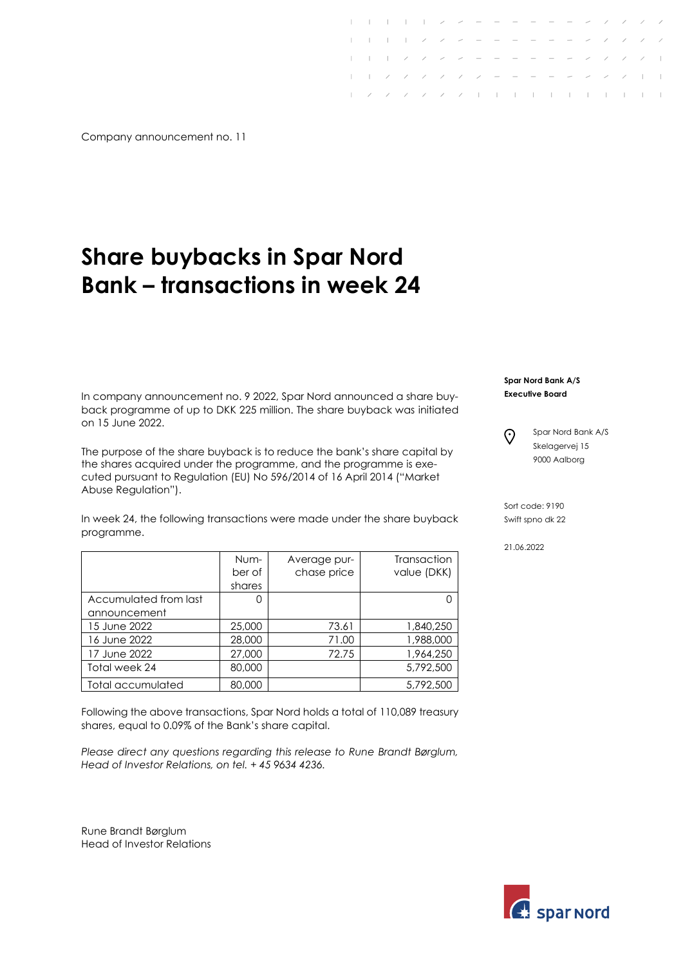Company announcement no. 11

## **Share buybacks in Spar Nord Bank – transactions in week 24**

In company announcement no. 9 2022, Spar Nord announced a share buyback programme of up to DKK 225 million. The share buyback was initiated on 15 June 2022.

The purpose of the share buyback is to reduce the bank's share capital by the shares acquired under the programme, and the programme is executed pursuant to Regulation (EU) No 596/2014 of 16 April 2014 ("Market Abuse Regulation").

In week 24, the following transactions were made under the share buyback programme.

|                       | Num-<br>ber of | Average pur-<br>chase price | Transaction<br>value (DKK) |
|-----------------------|----------------|-----------------------------|----------------------------|
|                       | shares         |                             |                            |
| Accumulated from last | Ω              |                             |                            |
| announcement          |                |                             |                            |
| 15 June 2022          | 25,000         | 73.61                       | 1,840,250                  |
| 16 June 2022          | 28,000         | 71.00                       | 1,988,000                  |
| 17 June 2022          | 27,000         | 72.75                       | 1,964,250                  |
| Total week 24         | 80,000         |                             | 5,792,500                  |
| Total accumulated     | 80,000         |                             | 5,792,500                  |

Following the above transactions, Spar Nord holds a total of 110,089 treasury shares, equal to 0.09% of the Bank's share capital.

*Please direct any questions regarding this release to Rune Brandt Børglum, Head of Investor Relations, on tel. + 45 9634 4236.*

Rune Brandt Børglum Head of Investor Relations **Spar Nord Bank A/S Executive Board**

 $\odot$ 

 $2$  ,  $2$  ,  $2$  ,  $2$  ,  $2$  ,  $1$  ,  $1$  ,  $1$  ,  $1$  ,  $1$  ,  $1$  ,  $1$  ,  $1$ 

 $1 - 1 - 2 - 2 - 2 = 0$  $1 - 2 - 2 - 2 - 2 = 0$ 

> Spar Nord Bank A/S Skelagervej 15 9000 Aalborg

Sort code: 9190 Swift spno dk 22

21.06.2022

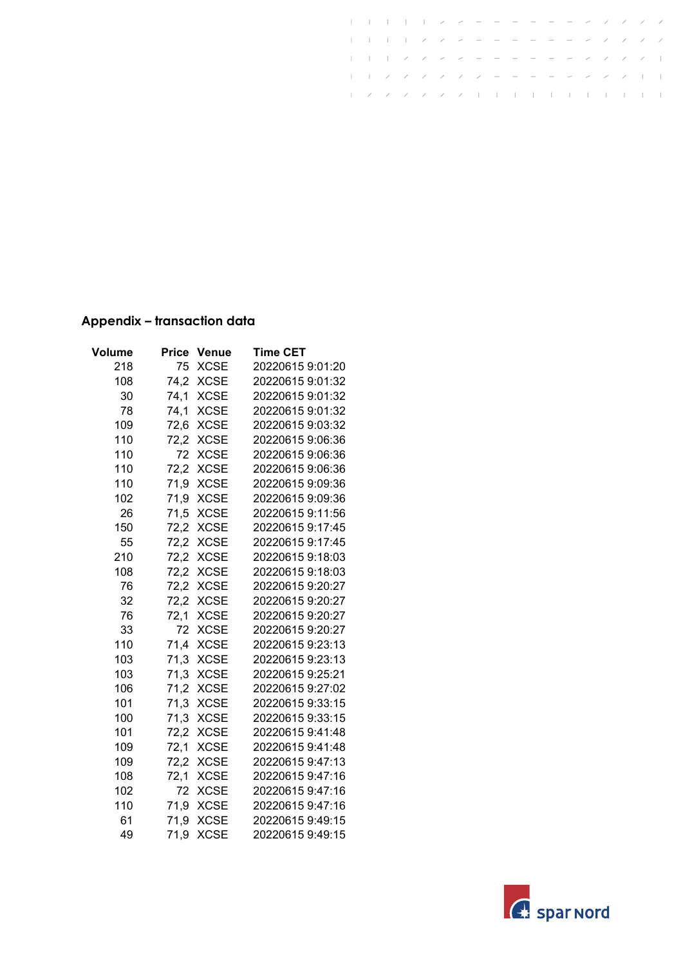|  |  |  |  |  |  | / / / /                 / / /    |  |  |  |
|--|--|--|--|--|--|----------------------------------|--|--|--|
|  |  |  |  |  |  | トーフフラフフラー ニーニングファー               |  |  |  |
|  |  |  |  |  |  | レンシン スープ・スープ コート・トート トート・トート・トート |  |  |  |

## **Appendix – transaction data**

| Volume | Price | <b>Venue</b> | <b>Time CET</b>  |
|--------|-------|--------------|------------------|
| 218    | 75    | <b>XCSE</b>  | 20220615 9:01:20 |
| 108    | 74,2  | <b>XCSE</b>  | 20220615 9:01:32 |
| 30     | 74,1  | <b>XCSE</b>  | 20220615 9:01:32 |
| 78     | 74,1  | <b>XCSE</b>  | 20220615 9:01:32 |
| 109    | 72,6  | <b>XCSE</b>  | 20220615 9:03:32 |
| 110    | 72,2  | XCSE         | 20220615 9:06:36 |
| 110    | 72    | <b>XCSE</b>  | 20220615 9:06:36 |
| 110    | 72,2  | <b>XCSE</b>  | 20220615 9:06:36 |
| 110    | 71,9  | <b>XCSE</b>  | 20220615 9:09:36 |
| 102    | 71,9  | <b>XCSE</b>  | 20220615 9:09:36 |
| 26     | 71,5  | <b>XCSE</b>  | 20220615 9:11:56 |
| 150    | 72,2  | <b>XCSE</b>  | 20220615 9:17:45 |
| 55     | 72,2  | <b>XCSE</b>  | 20220615 9:17:45 |
| 210    | 72,2  | <b>XCSE</b>  | 20220615 9:18:03 |
| 108    | 72,2  | <b>XCSE</b>  | 20220615 9:18:03 |
| 76     | 72,2  | <b>XCSE</b>  | 20220615 9:20:27 |
| 32     | 72,2  | <b>XCSE</b>  | 20220615 9:20:27 |
| 76     | 72,1  | <b>XCSE</b>  | 20220615 9:20:27 |
| 33     | 72    | <b>XCSE</b>  | 20220615 9:20:27 |
| 110    | 71,4  | <b>XCSE</b>  | 20220615 9:23:13 |
| 103    | 71,3  | <b>XCSE</b>  | 20220615 9:23:13 |
| 103    | 71,3  | <b>XCSE</b>  | 20220615 9:25:21 |
| 106    | 71,2  | <b>XCSE</b>  | 20220615 9:27:02 |
| 101    | 71,3  | <b>XCSE</b>  | 20220615 9:33:15 |
| 100    | 71,3  | <b>XCSE</b>  | 20220615 9:33:15 |
| 101    | 72,2  | <b>XCSE</b>  | 20220615 9:41:48 |
| 109    | 72,1  | <b>XCSE</b>  | 20220615 9:41:48 |
| 109    | 72,2  | <b>XCSE</b>  | 20220615 9:47:13 |
| 108    | 72,1  | <b>XCSE</b>  | 20220615 9:47:16 |
| 102    | 72    | <b>XCSE</b>  | 20220615 9:47:16 |
| 110    | 71,9  | <b>XCSE</b>  | 20220615 9:47:16 |
| 61     | 71,9  | <b>XCSE</b>  | 20220615 9:49:15 |
| 49     | 71,9  | <b>XCSE</b>  | 20220615 9:49:15 |

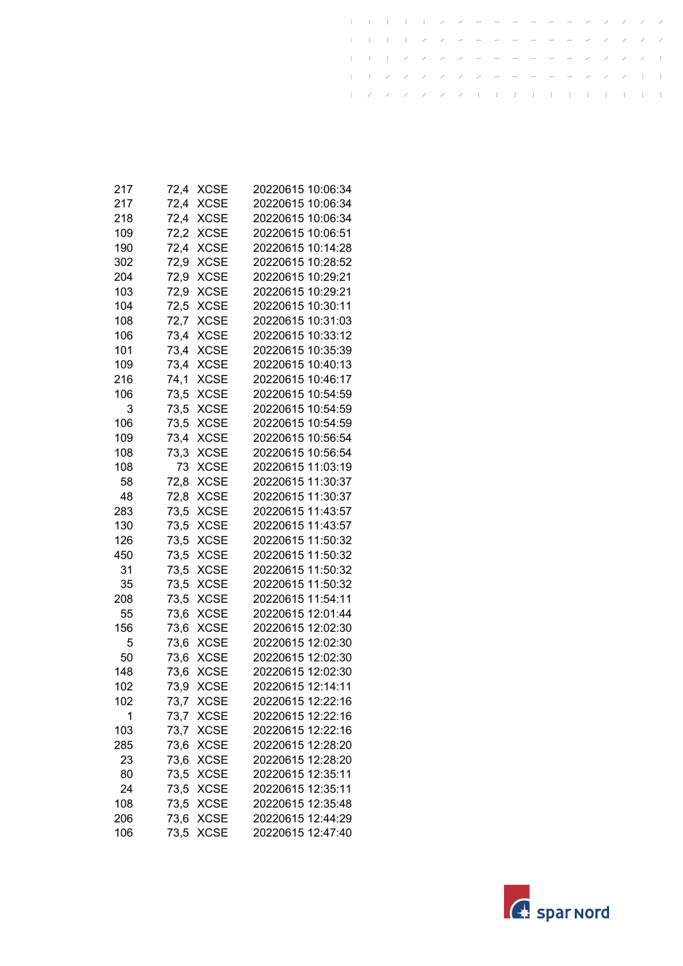| 217 | 72.4 | XCSE        | 20220615 10:06:34 |
|-----|------|-------------|-------------------|
| 217 | 72,4 | <b>XCSE</b> | 20220615 10:06:34 |
| 218 | 72,4 | <b>XCSE</b> | 20220615 10:06:34 |
| 109 | 72,2 | <b>XCSE</b> | 20220615 10:06:51 |
| 190 | 72,4 | <b>XCSE</b> | 20220615 10:14:28 |
| 302 | 72,9 | <b>XCSE</b> | 20220615 10:28:52 |
| 204 | 72,9 | <b>XCSE</b> | 20220615 10:29:21 |
| 103 | 72,9 | XCSE        | 20220615 10:29:21 |
| 104 | 72,5 | XCSE        | 20220615 10:30:11 |
| 108 | 72,7 | <b>XCSE</b> | 20220615 10:31:03 |
| 106 | 73,4 | <b>XCSE</b> | 20220615 10:33:12 |
| 101 | 73,4 | <b>XCSE</b> | 20220615 10:35:39 |
| 109 | 73,4 | <b>XCSE</b> | 20220615 10:40:13 |
| 216 | 74,1 | <b>XCSE</b> | 20220615 10:46:17 |
| 106 | 73,5 | <b>XCSE</b> | 20220615 10:54:59 |
| 3   | 73,5 | <b>XCSE</b> | 20220615 10:54:59 |
| 106 | 73,5 | XCSE        | 20220615 10:54:59 |
| 109 | 73,4 | <b>XCSE</b> | 20220615 10:56:54 |
| 108 | 73,3 | <b>XCSE</b> | 20220615 10:56:54 |
| 108 | 73   | <b>XCSE</b> | 20220615 11:03:19 |
| 58  | 72,8 | <b>XCSE</b> | 20220615 11:30:37 |
| 48  | 72,8 | <b>XCSE</b> | 20220615 11:30:37 |
| 283 | 73,5 | <b>XCSE</b> | 20220615 11:43:57 |
| 130 | 73,5 | <b>XCSE</b> | 20220615 11:43:57 |
| 126 | 73,5 | XCSE        | 20220615 11:50:32 |
| 450 | 73,5 | <b>XCSE</b> | 20220615 11:50:32 |
| 31  | 73,5 | <b>XCSE</b> | 20220615 11:50:32 |
| 35  | 73,5 | <b>XCSE</b> | 20220615 11:50:32 |
| 208 | 73,5 | <b>XCSE</b> | 20220615 11:54:11 |
| 55  | 73,6 | <b>XCSE</b> | 20220615 12:01:44 |
| 156 | 73,6 | <b>XCSE</b> | 20220615 12:02:30 |
| 5   | 73,6 | <b>XCSE</b> | 20220615 12:02:30 |
| 50  | 73,6 | <b>XCSE</b> | 20220615 12:02:30 |
| 148 | 73,6 | <b>XCSE</b> | 20220615 12:02:30 |
| 102 | 73,9 | <b>XCSE</b> | 20220615 12:14:11 |
| 102 | 73,7 | XCSE        | 20220615 12:22:16 |
| 1   | 73,7 | <b>XCSE</b> | 20220615 12:22:16 |
| 103 | 73,7 | <b>XCSE</b> | 20220615 12:22:16 |
| 285 | 73,6 | <b>XCSE</b> | 20220615 12:28:20 |
| 23  | 73,6 | <b>XCSE</b> | 20220615 12:28:20 |
| 80  | 73,5 | <b>XCSE</b> | 20220615 12:35:11 |
| 24  | 73,5 | <b>XCSE</b> | 20220615 12:35:11 |
| 108 | 73,5 | <b>XCSE</b> | 20220615 12:35:48 |
| 206 | 73,6 | <b>XCSE</b> | 20220615 12:44:29 |
| 106 | 73,5 | <b>XCSE</b> | 20220615 12:47:40 |

 $\mathbf{I}$ 

 $\mathbf{I}$  $\mathbf{I}$  $\pm$  $\pm$   $\overline{1}$ 

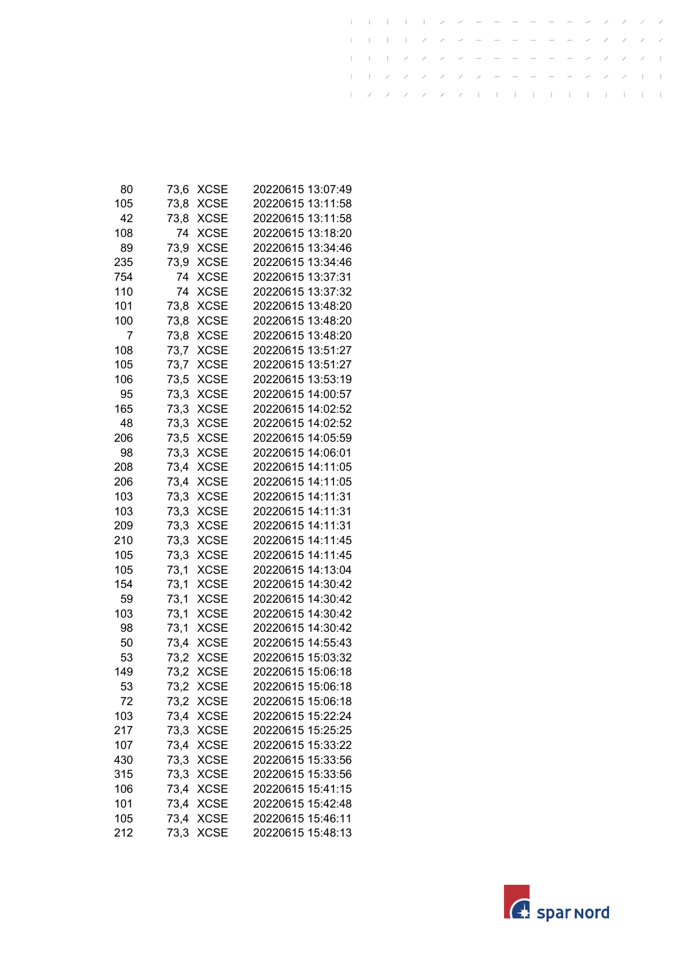| 80  | 73,6 | XCSE        | 20220615 13:07:49 |
|-----|------|-------------|-------------------|
| 105 | 73,8 | <b>XCSE</b> | 20220615 13:11:58 |
| 42  | 73,8 | <b>XCSE</b> | 20220615 13:11:58 |
| 108 | 74   | <b>XCSE</b> | 20220615 13:18:20 |
| 89  | 73,9 | <b>XCSE</b> | 20220615 13:34:46 |
| 235 | 73,9 | <b>XCSE</b> | 20220615 13:34:46 |
| 754 | 74   | <b>XCSE</b> | 20220615 13:37:31 |
| 110 | 74   | XCSE        | 20220615 13:37:32 |
| 101 | 73,8 | XCSE        | 20220615 13:48:20 |
| 100 | 73,8 | <b>XCSE</b> | 20220615 13:48:20 |
| 7   | 73,8 | <b>XCSE</b> | 20220615 13:48:20 |
| 108 | 73,7 | <b>XCSE</b> | 20220615 13:51:27 |
| 105 | 73,7 | <b>XCSE</b> | 20220615 13:51:27 |
| 106 | 73,5 | <b>XCSE</b> | 20220615 13:53:19 |
| 95  | 73,3 | <b>XCSE</b> | 20220615 14:00:57 |
| 165 | 73,3 | XCSE        | 20220615 14:02:52 |
| 48  | 73,3 | <b>XCSE</b> | 20220615 14:02:52 |
| 206 | 73,5 | <b>XCSE</b> | 20220615 14:05:59 |
| 98  | 73,3 | <b>XCSE</b> | 20220615 14:06:01 |
| 208 | 73,4 | <b>XCSE</b> | 20220615 14:11:05 |
| 206 | 73,4 | <b>XCSE</b> | 20220615 14:11:05 |
| 103 | 73,3 | <b>XCSE</b> | 20220615 14:11:31 |
| 103 | 73,3 | <b>XCSE</b> | 20220615 14:11:31 |
| 209 | 73,3 | XCSE        | 20220615 14:11:31 |
| 210 | 73,3 | XCSE        | 20220615 14:11:45 |
| 105 | 73,3 | <b>XCSE</b> | 20220615 14:11:45 |
| 105 | 73,1 | <b>XCSE</b> | 20220615 14:13:04 |
| 154 | 73,1 | <b>XCSE</b> | 20220615 14:30:42 |
| 59  | 73,1 | <b>XCSE</b> | 20220615 14:30:42 |
| 103 | 73,1 | <b>XCSE</b> | 20220615 14:30:42 |
| 98  | 73,1 | <b>XCSE</b> | 20220615 14:30:42 |
| 50  | 73,4 | <b>XCSE</b> | 20220615 14:55:43 |
| 53  | 73,2 | <b>XCSE</b> | 20220615 15:03:32 |
| 149 | 73,2 | <b>XCSE</b> | 20220615 15:06:18 |
| 53  | 73,2 | <b>XCSE</b> | 20220615 15:06:18 |
| 72  | 73,2 | <b>XCSE</b> | 20220615 15:06:18 |
| 103 | 73,4 | <b>XCSE</b> | 20220615 15:22:24 |
| 217 | 73,3 | <b>XCSE</b> | 20220615 15:25:25 |
| 107 | 73,4 | <b>XCSE</b> | 20220615 15:33:22 |
| 430 | 73,3 | <b>XCSE</b> | 20220615 15:33:56 |
| 315 | 73,3 | <b>XCSE</b> | 20220615 15:33:56 |
| 106 | 73,4 | <b>XCSE</b> | 20220615 15:41:15 |
| 101 | 73,4 | <b>XCSE</b> | 20220615 15:42:48 |
| 105 | 73,4 | <b>XCSE</b> | 20220615 15:46:11 |
| 212 | 73,3 | <b>XCSE</b> | 20220615 15:48:13 |

 $\mathbf{I}$ 

 $\mathbf{I}$  $\mathbf{I}$  $\pm$  $\pm$   $\overline{1}$ 

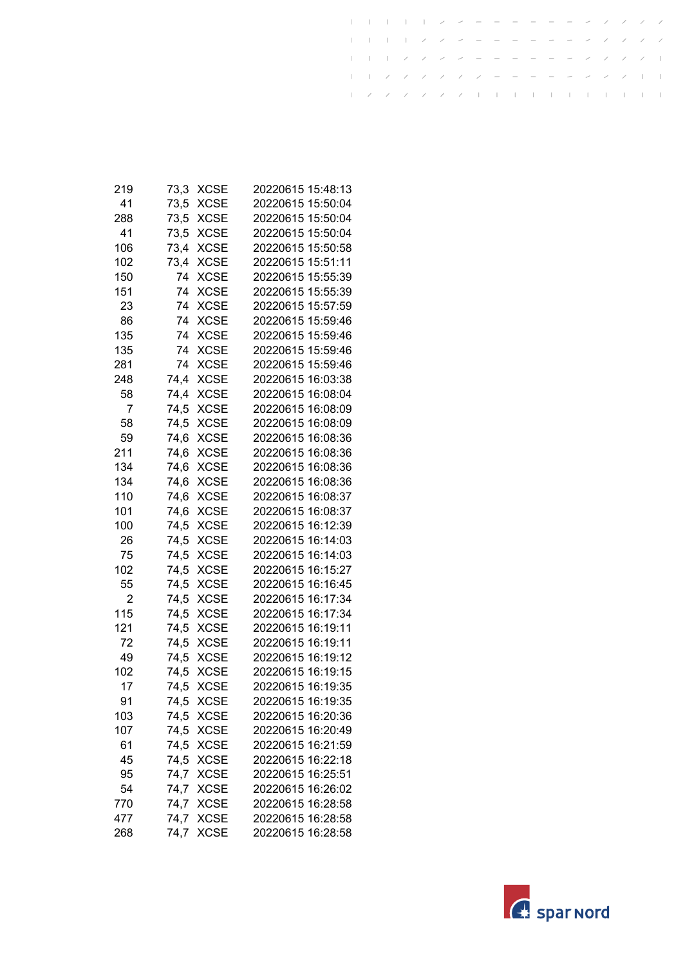| 219 | 73,3 | <b>XCSE</b> | 20220615 15:48:13 |
|-----|------|-------------|-------------------|
| 41  | 73,5 | <b>XCSE</b> | 20220615 15:50:04 |
| 288 | 73,5 | <b>XCSE</b> | 20220615 15:50:04 |
| 41  | 73,5 | <b>XCSE</b> | 20220615 15:50:04 |
| 106 | 73,4 | <b>XCSE</b> | 20220615 15:50:58 |
| 102 | 73.4 | <b>XCSE</b> | 20220615 15:51:11 |
| 150 | 74   | <b>XCSE</b> | 20220615 15:55:39 |
| 151 | 74   | <b>XCSE</b> | 20220615 15:55:39 |
| 23  | 74   | <b>XCSE</b> | 20220615 15:57:59 |
| 86  | 74   | <b>XCSE</b> | 20220615 15:59:46 |
| 135 | 74   | <b>XCSE</b> | 20220615 15:59:46 |
| 135 | 74   | <b>XCSE</b> | 20220615 15:59:46 |
| 281 | 74   | <b>XCSE</b> | 20220615 15:59:46 |
| 248 | 74,4 | <b>XCSE</b> | 20220615 16:03:38 |
| 58  | 74,4 | <b>XCSE</b> | 20220615 16:08:04 |
| 7   | 74,5 | <b>XCSE</b> | 20220615 16:08:09 |
| 58  | 74,5 | <b>XCSE</b> | 20220615 16:08:09 |
| 59  | 74,6 | <b>XCSE</b> | 20220615 16:08:36 |
| 211 | 74,6 | <b>XCSE</b> | 20220615 16:08:36 |
| 134 | 74,6 | <b>XCSE</b> | 20220615 16:08:36 |
| 134 | 74,6 | <b>XCSE</b> | 20220615 16:08:36 |
| 110 | 74,6 | <b>XCSE</b> | 20220615 16:08:37 |
| 101 | 74,6 | <b>XCSE</b> | 20220615 16:08:37 |
| 100 | 74,5 | <b>XCSE</b> | 20220615 16:12:39 |
| 26  | 74,5 | <b>XCSE</b> | 20220615 16:14:03 |
| 75  | 74,5 | <b>XCSE</b> | 20220615 16:14:03 |
| 102 | 74,5 | <b>XCSE</b> | 20220615 16:15:27 |
| 55  | 74,5 | <b>XCSE</b> | 20220615 16:16:45 |
| 2   | 74,5 | <b>XCSE</b> | 20220615 16:17:34 |
| 115 | 74,5 | <b>XCSE</b> | 20220615 16:17:34 |
| 121 | 74,5 | <b>XCSE</b> | 20220615 16:19:11 |
| 72  | 74,5 | <b>XCSE</b> | 20220615 16:19:11 |
| 49  | 74,5 | <b>XCSE</b> | 20220615 16:19:12 |
| 102 | 74,5 | <b>XCSE</b> | 20220615 16:19:15 |
| 17  | 74,5 | <b>XCSE</b> | 20220615 16:19:35 |
| 91  | 74,5 | <b>XCSE</b> | 20220615 16:19:35 |
| 103 | 74,5 | <b>XCSE</b> | 20220615 16:20:36 |
| 107 | 74,5 | <b>XCSE</b> | 20220615 16:20:49 |
| 61  | 74,5 | <b>XCSE</b> | 20220615 16:21:59 |
| 45  | 74,5 | <b>XCSE</b> | 20220615 16:22:18 |
| 95  | 74,7 | <b>XCSE</b> | 20220615 16:25:51 |
| 54  | 74,7 | <b>XCSE</b> | 20220615 16:26:02 |
| 770 | 74,7 | <b>XCSE</b> | 20220615 16:28:58 |
| 477 | 74,7 | <b>XCSE</b> | 20220615 16:28:58 |
| 268 | 74,7 | <b>XCSE</b> | 20220615 16:28:58 |

 $\mathbf{I}$ 

 $\mathbf{I}$  $\mathbf{I}$  $\pm$  $\pm$   $\overline{1}$ 

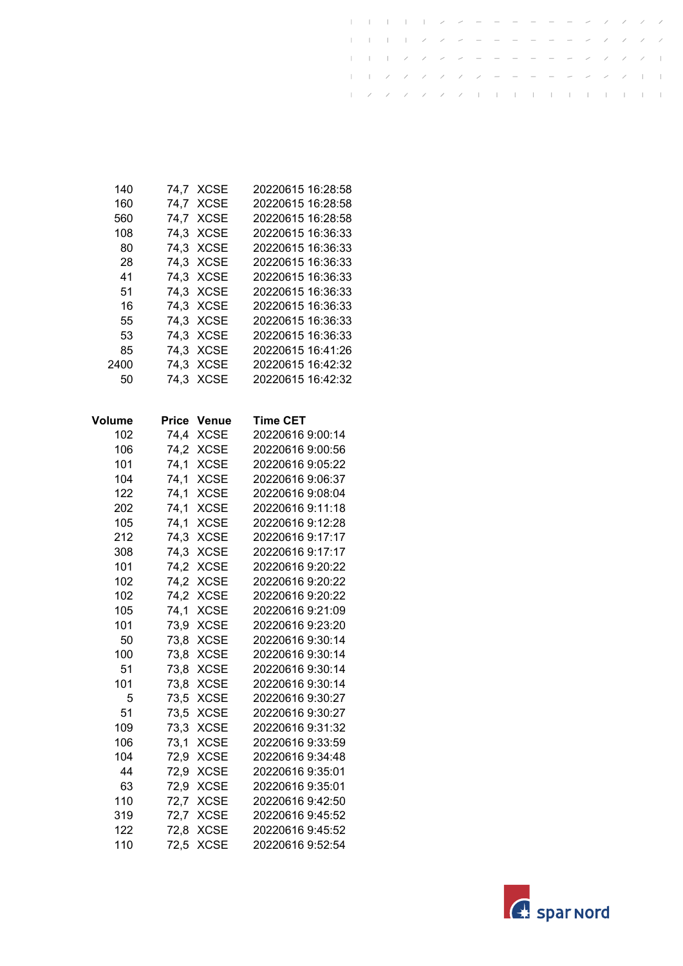| 140    | 74,7         | <b>XCSE</b>  | 20220615 16:28:58 |
|--------|--------------|--------------|-------------------|
| 160    | 74,7         | <b>XCSE</b>  | 20220615 16:28:58 |
| 560    | 74,7         | <b>XCSE</b>  | 20220615 16:28:58 |
| 108    | 74,3         | <b>XCSE</b>  | 20220615 16:36:33 |
| 80     | 74,3         | <b>XCSE</b>  | 20220615 16:36:33 |
| 28     | 74,3         | <b>XCSE</b>  | 20220615 16:36:33 |
| 41     | 74,3         | <b>XCSE</b>  | 20220615 16:36:33 |
| 51     | 74,3         | <b>XCSE</b>  | 20220615 16:36:33 |
| 16     | 74,3         | <b>XCSE</b>  | 20220615 16:36:33 |
| 55     | 74,3         | <b>XCSE</b>  | 20220615 16:36:33 |
| 53     | 74,3         | <b>XCSE</b>  | 20220615 16:36:33 |
| 85     | 74,3         | <b>XCSE</b>  | 20220615 16:41:26 |
| 2400   | 74,3         | <b>XCSE</b>  | 20220615 16:42:32 |
| 50     | 74,3         | <b>XCSE</b>  | 20220615 16:42:32 |
|        |              |              |                   |
| Volume | <b>Price</b> | <b>Venue</b> | <b>Time CET</b>   |
| 102    | 74,4         | <b>XCSE</b>  | 20220616 9:00:14  |
| 106    | 74,2         | <b>XCSE</b>  | 20220616 9:00:56  |
| 101    | 74,1         | <b>XCSE</b>  | 20220616 9:05:22  |
| 104    | 74,1         | <b>XCSE</b>  | 20220616 9:06:37  |
| 122    | 74,1         | <b>XCSE</b>  | 20220616 9:08:04  |
| 202    | 74,1         | <b>XCSE</b>  | 20220616 9:11:18  |
| 105    | 74,1         | <b>XCSE</b>  | 20220616 9:12:28  |
| 212    | 74,3         | <b>XCSE</b>  | 20220616 9:17:17  |
| 308    | 74,3         | <b>XCSE</b>  | 20220616 9:17:17  |
| 101    | 74,2         | <b>XCSE</b>  | 20220616 9:20:22  |
| 102    | 74,2         | <b>XCSE</b>  | 20220616 9:20:22  |
| 102    | 74,2         | <b>XCSE</b>  | 20220616 9:20:22  |
| 105    | 74,1         | <b>XCSE</b>  | 20220616 9:21:09  |
| 101    | 73,9         | <b>XCSE</b>  | 20220616 9:23:20  |
| 50     | 73,8         | <b>XCSE</b>  | 20220616 9:30:14  |
| 100    | 73,8         | <b>XCSE</b>  | 20220616 9:30:14  |
| 51     | 73,8         | <b>XCSE</b>  | 20220616 9:30:14  |
| 101    | 73,8         | <b>XCSE</b>  | 20220616 9:30:14  |
| $-5$   | 73,5         | <b>XCSE</b>  | 20220616 9:30:27  |
| 51     | 73,5         | <b>XCSE</b>  | 20220616 9:30:27  |
| 109    | 73,3         | <b>XCSE</b>  | 20220616 9:31:32  |
| 106    | 73,1         | <b>XCSE</b>  | 20220616 9:33:59  |
| 104    | 72,9         | <b>XCSE</b>  | 20220616 9:34:48  |
| 44     | 72,9         | <b>XCSE</b>  | 20220616 9:35:01  |
| 63     | 72,9         | <b>XCSE</b>  | 20220616 9:35:01  |
| 110    | 72,7         | <b>XCSE</b>  | 20220616 9:42:50  |
| 319    | 72,7         | <b>XCSE</b>  | 20220616 9:45:52  |
| 122    | 72,8         | <b>XCSE</b>  | 20220616 9:45:52  |
| 110    | 72,5         | <b>XCSE</b>  | 20220616 9:52:54  |
|        |              |              |                   |

 $\mathbf{r}$ 

 $\overline{1}$  $\pm$ 

 $\overline{\phantom{a}}$ 

 $\overline{\phantom{a}}$ 

 $\overline{\phantom{a}}$ 

 $\overline{\phantom{a}}$ 

 $\sim 1$  $\sim 1$  $\bar{\phantom{a}}$  $\sim 1$  $\sim 1$ 

 $\mathbb{I}$ 

 $\mathbf{I}$  $\top$ 

 $\perp$ 

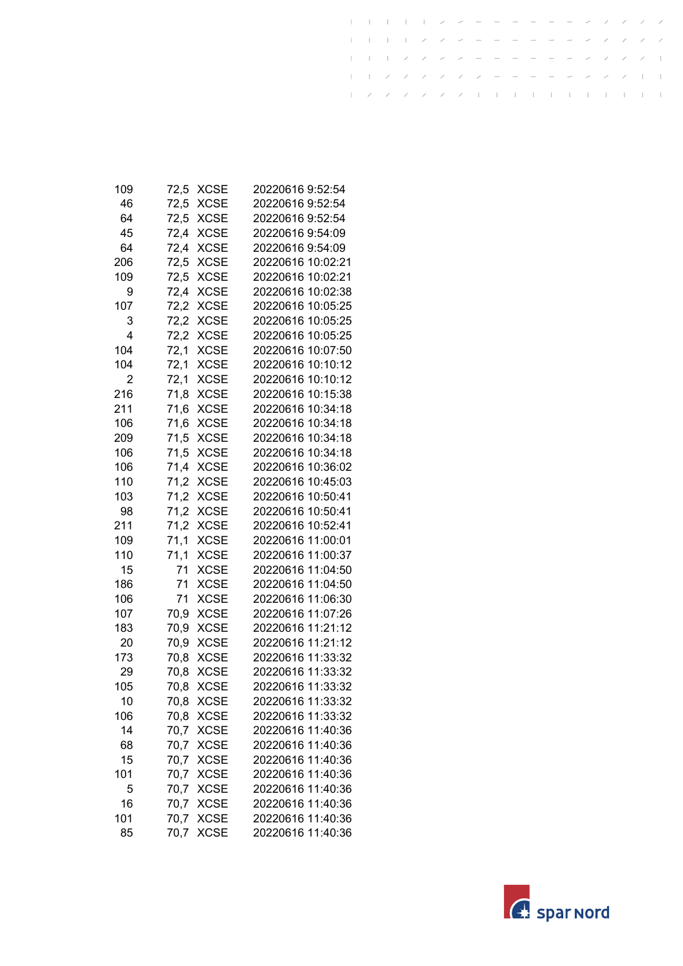| 109 | 72,5 | XCSE        | 20220616 9:52:54  |
|-----|------|-------------|-------------------|
| 46  | 72,5 | <b>XCSE</b> | 20220616 9:52:54  |
| 64  | 72,5 | <b>XCSE</b> | 20220616 9:52:54  |
| 45  | 72,4 | <b>XCSE</b> | 20220616 9:54:09  |
| 64  | 72,4 | <b>XCSE</b> | 20220616 9:54:09  |
| 206 | 72,5 | <b>XCSE</b> | 20220616 10:02:21 |
| 109 | 72,5 | <b>XCSE</b> | 20220616 10:02:21 |
| 9   | 72,4 | <b>XCSE</b> | 20220616 10:02:38 |
| 107 | 72,2 | <b>XCSE</b> | 20220616 10:05:25 |
| 3   | 72,2 | <b>XCSE</b> | 20220616 10:05:25 |
| 4   | 72,2 | <b>XCSE</b> | 20220616 10:05:25 |
| 104 | 72,1 | <b>XCSE</b> | 20220616 10:07:50 |
| 104 | 72,1 | <b>XCSE</b> | 20220616 10:10:12 |
| 2   | 72,1 | <b>XCSE</b> | 20220616 10:10:12 |
| 216 | 71,8 | <b>XCSE</b> | 20220616 10:15:38 |
| 211 | 71,6 | <b>XCSE</b> | 20220616 10:34:18 |
| 106 | 71,6 | XCSE        | 20220616 10:34:18 |
| 209 | 71,5 | <b>XCSE</b> | 20220616 10:34:18 |
| 106 | 71,5 | <b>XCSE</b> | 20220616 10:34:18 |
| 106 | 71,4 | <b>XCSE</b> | 20220616 10:36:02 |
| 110 | 71,2 | <b>XCSE</b> | 20220616 10:45:03 |
| 103 | 71,2 | <b>XCSE</b> | 20220616 10:50:41 |
| 98  | 71,2 | <b>XCSE</b> | 20220616 10:50:41 |
| 211 | 71,2 | <b>XCSE</b> | 20220616 10:52:41 |
| 109 | 71,1 | <b>XCSE</b> | 20220616 11:00:01 |
| 110 | 71,1 | <b>XCSE</b> | 20220616 11:00:37 |
| 15  | 71   | <b>XCSE</b> | 20220616 11:04:50 |
| 186 | 71   | <b>XCSE</b> | 20220616 11:04:50 |
| 106 | 71   | <b>XCSE</b> | 20220616 11:06:30 |
| 107 | 70,9 | <b>XCSE</b> | 20220616 11:07:26 |
| 183 | 70,9 | <b>XCSE</b> | 20220616 11:21:12 |
| 20  | 70,9 | <b>XCSE</b> | 20220616 11:21:12 |
| 173 | 70,8 | <b>XCSE</b> | 20220616 11:33:32 |
| 29  | 70,8 | <b>XCSE</b> | 20220616 11:33:32 |
| 105 | 70,8 | <b>XCSE</b> | 20220616 11:33:32 |
| 10  | 70,8 | XCSE        | 20220616 11:33:32 |
| 106 | 70,8 | <b>XCSE</b> | 20220616 11:33:32 |
| 14  | 70,7 | <b>XCSE</b> | 20220616 11:40:36 |
| 68  | 70,7 | <b>XCSE</b> | 20220616 11:40:36 |
| 15  | 70,7 | <b>XCSE</b> | 20220616 11:40:36 |
| 101 | 70,7 | <b>XCSE</b> | 20220616 11:40:36 |
| 5   | 70,7 | <b>XCSE</b> | 20220616 11:40:36 |
| 16  | 70,7 | <b>XCSE</b> | 20220616 11:40:36 |
| 101 | 70,7 | <b>XCSE</b> | 20220616 11:40:36 |
| 85  | 70,7 | <b>XCSE</b> | 20220616 11:40:36 |

 $\mathbf{I}$ 

 $\mathbf{I}$  $\mathbf{I}$  $\pm$  $\pm$   $\overline{1}$ 

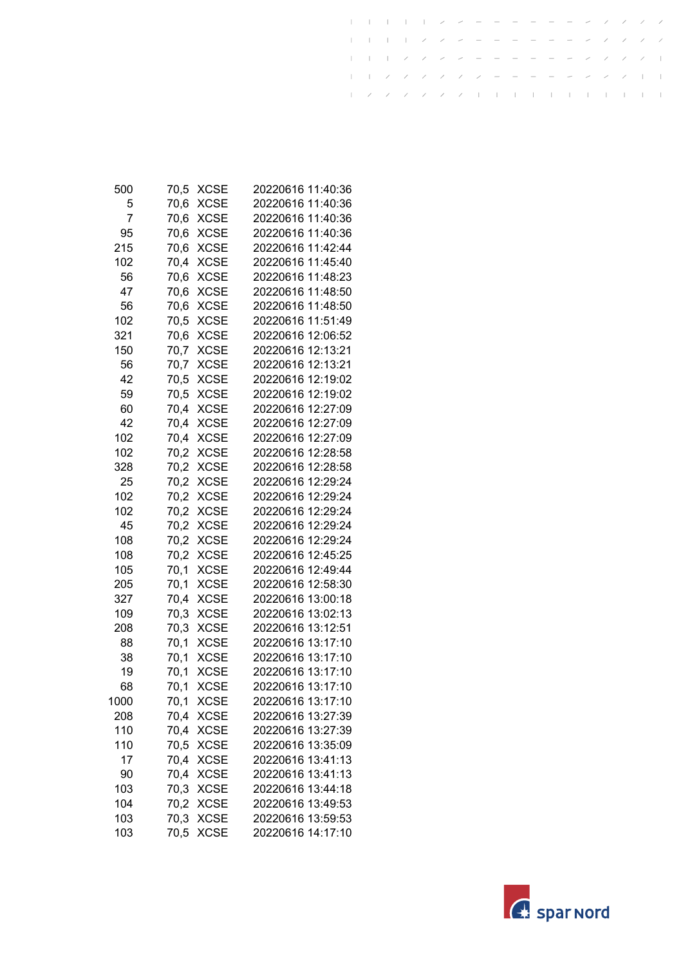| 500  | 70,5 | <b>XCSE</b> | 20220616 11:40:36 |
|------|------|-------------|-------------------|
| 5    | 70,6 | <b>XCSE</b> | 20220616 11:40:36 |
| 7    | 70,6 | <b>XCSE</b> | 20220616 11:40:36 |
| 95   | 70,6 | <b>XCSE</b> | 20220616 11:40:36 |
| 215  | 70,6 | <b>XCSE</b> | 20220616 11:42:44 |
| 102  | 70,4 | <b>XCSE</b> | 20220616 11:45:40 |
| 56   | 70,6 | <b>XCSE</b> | 20220616 11:48:23 |
| 47   | 70,6 | <b>XCSE</b> | 20220616 11:48:50 |
| 56   | 70,6 | <b>XCSE</b> | 20220616 11:48:50 |
| 102  | 70,5 | <b>XCSE</b> | 20220616 11:51:49 |
| 321  | 70,6 | <b>XCSE</b> | 20220616 12:06:52 |
| 150  | 70,7 | <b>XCSE</b> | 20220616 12:13:21 |
| 56   | 70,7 | <b>XCSE</b> | 20220616 12:13:21 |
| 42   | 70,5 | <b>XCSE</b> | 20220616 12:19:02 |
| 59   | 70,5 | <b>XCSE</b> | 20220616 12:19:02 |
| 60   | 70,4 | XCSE        | 20220616 12:27:09 |
| 42   | 70,4 | <b>XCSE</b> | 20220616 12:27:09 |
| 102  | 70,4 | <b>XCSE</b> | 20220616 12:27:09 |
| 102  | 70,2 | <b>XCSE</b> | 20220616 12:28:58 |
| 328  | 70,2 | <b>XCSE</b> | 20220616 12:28:58 |
| 25   | 70,2 | <b>XCSE</b> | 20220616 12:29:24 |
| 102  | 70.2 | <b>XCSE</b> | 20220616 12:29:24 |
| 102  | 70,2 | <b>XCSE</b> | 20220616 12:29:24 |
| 45   | 70,2 | <b>XCSE</b> | 20220616 12:29:24 |
| 108  | 70,2 | <b>XCSE</b> | 20220616 12:29:24 |
| 108  | 70,2 | <b>XCSE</b> | 20220616 12:45:25 |
| 105  | 70,1 | <b>XCSE</b> | 20220616 12:49:44 |
| 205  | 70,1 | <b>XCSE</b> | 20220616 12:58:30 |
| 327  | 70,4 | <b>XCSE</b> | 20220616 13:00:18 |
| 109  | 70,3 | <b>XCSE</b> | 20220616 13:02:13 |
| 208  | 70,3 | <b>XCSE</b> | 20220616 13:12:51 |
| 88   | 70,1 | <b>XCSE</b> | 20220616 13:17:10 |
| 38   | 70,1 | <b>XCSE</b> | 20220616 13:17:10 |
| 19   | 70,1 | <b>XCSE</b> | 20220616 13:17:10 |
| 68   | 70,1 | <b>XCSE</b> | 20220616 13:17:10 |
| 1000 | 70,1 | <b>XCSE</b> | 20220616 13:17:10 |
| 208  | 70,4 | <b>XCSE</b> | 20220616 13:27:39 |
| 110  | 70,4 | <b>XCSE</b> | 20220616 13:27:39 |
| 110  | 70,5 | <b>XCSE</b> | 20220616 13:35:09 |
| 17   | 70,4 | <b>XCSE</b> | 20220616 13:41:13 |
| 90   | 70,4 | <b>XCSE</b> | 20220616 13:41:13 |
| 103  | 70,3 | <b>XCSE</b> | 20220616 13:44:18 |
| 104  | 70,2 | <b>XCSE</b> | 20220616 13:49:53 |
| 103  | 70,3 | <b>XCSE</b> | 20220616 13:59:53 |
| 103  | 70,5 | <b>XCSE</b> | 20220616 14:17:10 |
|      |      |             |                   |

 $\mathbf{I}$ 

 $\mathbf{I}$  $\mathbf{I}$  $\pm$  $\pm$   $\overline{1}$ 

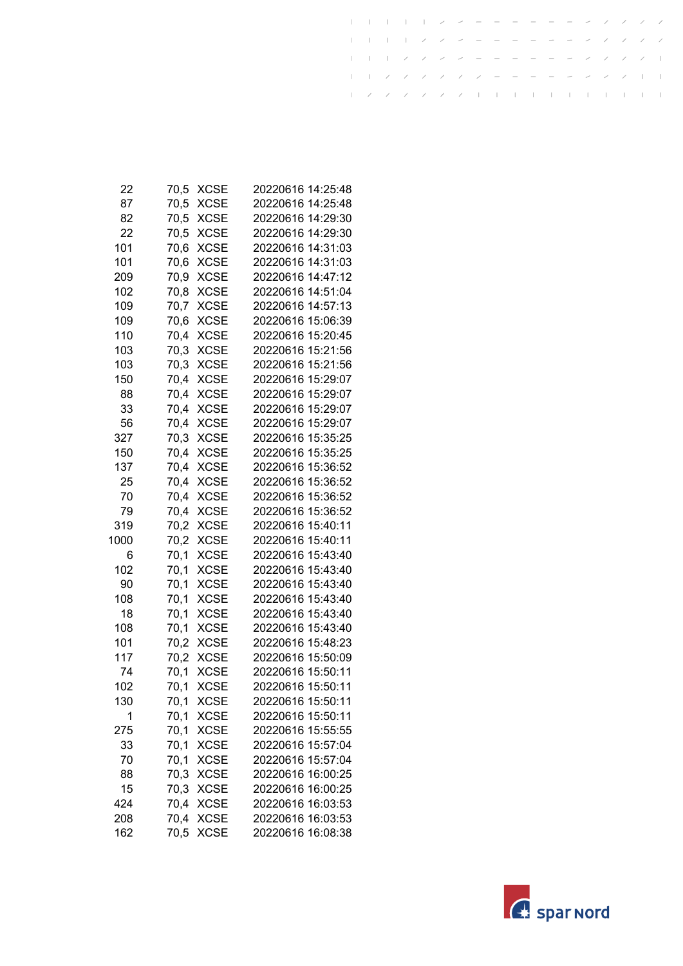| 22   | 70,5 | XCSE        | 20220616 14:25:48 |
|------|------|-------------|-------------------|
| 87   | 70,5 | <b>XCSE</b> | 20220616 14:25:48 |
| 82   | 70,5 | <b>XCSE</b> | 20220616 14:29:30 |
| 22   | 70,5 | <b>XCSE</b> | 20220616 14:29:30 |
| 101  | 70,6 | <b>XCSE</b> | 20220616 14:31:03 |
| 101  | 70,6 | <b>XCSE</b> | 20220616 14:31:03 |
| 209  | 70,9 | <b>XCSE</b> | 20220616 14:47:12 |
| 102  | 70,8 | <b>XCSE</b> | 20220616 14:51:04 |
| 109  | 70,7 | <b>XCSE</b> | 20220616 14:57:13 |
| 109  | 70,6 | <b>XCSE</b> | 20220616 15:06:39 |
| 110  | 70,4 | <b>XCSE</b> | 20220616 15:20:45 |
| 103  | 70,3 | <b>XCSE</b> | 20220616 15:21:56 |
| 103  | 70,3 | <b>XCSE</b> | 20220616 15:21:56 |
| 150  | 70,4 | <b>XCSE</b> | 20220616 15:29:07 |
| 88   | 70,4 | <b>XCSE</b> | 20220616 15:29:07 |
| 33   | 70,4 | <b>XCSE</b> | 20220616 15:29:07 |
| 56   | 70,4 | <b>XCSE</b> | 20220616 15:29:07 |
| 327  | 70,3 | <b>XCSE</b> | 20220616 15:35:25 |
| 150  | 70,4 | <b>XCSE</b> | 20220616 15:35:25 |
| 137  | 70,4 | <b>XCSE</b> | 20220616 15:36:52 |
| 25   | 70,4 | <b>XCSE</b> | 20220616 15:36:52 |
| 70   | 70,4 | <b>XCSE</b> | 20220616 15:36:52 |
| 79   | 70,4 | <b>XCSE</b> | 20220616 15:36:52 |
| 319  | 70,2 | <b>XCSE</b> | 20220616 15:40:11 |
| 1000 | 70,2 | <b>XCSE</b> | 20220616 15:40:11 |
| 6    | 70,1 | <b>XCSE</b> | 20220616 15:43:40 |
| 102  | 70,1 | <b>XCSE</b> | 20220616 15:43:40 |
| 90   | 70,1 | <b>XCSE</b> | 20220616 15:43:40 |
| 108  | 70,1 | <b>XCSE</b> | 20220616 15:43:40 |
| 18   | 70,1 | <b>XCSE</b> | 20220616 15:43:40 |
| 108  | 70,1 | <b>XCSE</b> | 20220616 15:43:40 |
| 101  | 70,2 | <b>XCSE</b> | 20220616 15:48:23 |
| 117  | 70,2 | <b>XCSE</b> | 20220616 15:50:09 |
| 74   | 70,1 | <b>XCSE</b> | 20220616 15:50:11 |
| 102  | 70,1 | <b>XCSE</b> | 20220616 15:50:11 |
| 130  | 70,1 | XCSE        | 20220616 15:50:11 |
| 1    | 70,1 | <b>XCSE</b> | 20220616 15:50:11 |
| 275  | 70,1 | <b>XCSE</b> | 20220616 15:55:55 |
| 33   | 70,1 | <b>XCSE</b> | 20220616 15:57:04 |
| 70   | 70,1 | <b>XCSE</b> | 20220616 15:57:04 |
| 88   | 70,3 | <b>XCSE</b> | 20220616 16:00:25 |
| 15   | 70,3 | <b>XCSE</b> | 20220616 16:00:25 |
| 424  | 70,4 | <b>XCSE</b> | 20220616 16:03:53 |
| 208  | 70,4 | <b>XCSE</b> | 20220616 16:03:53 |
| 162  | 70,5 | <b>XCSE</b> | 20220616 16:08:38 |

 $\mathbf{I}$ 

 $\mathbf{I}$  $\mathbf{I}$  $\pm$  $\pm$   $\overline{1}$ 

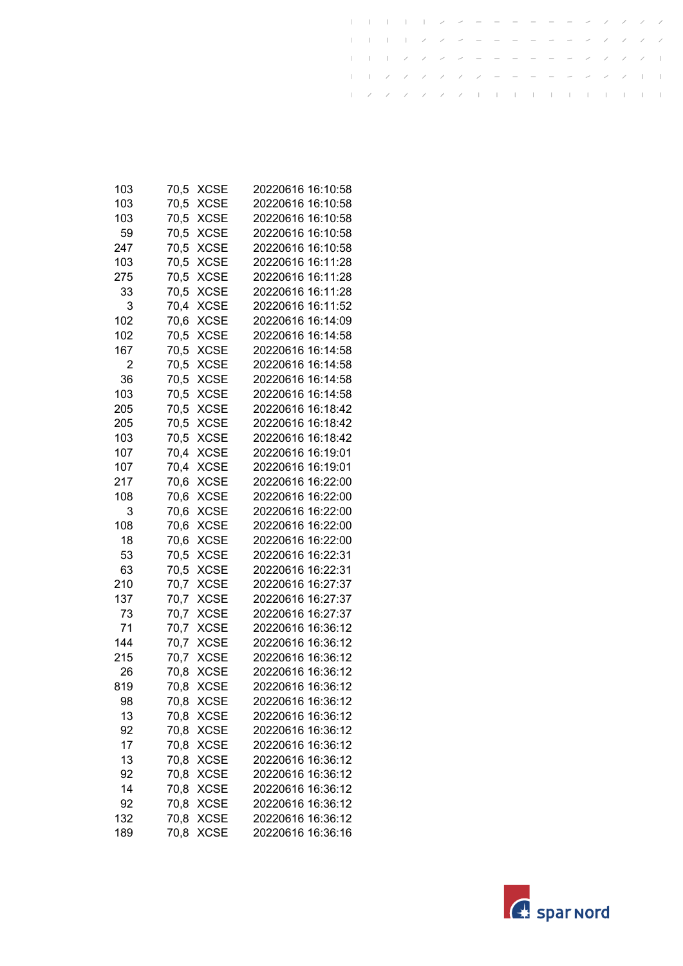| 103 | 70,5 | XCSE        | 20220616 16:10:58 |
|-----|------|-------------|-------------------|
| 103 | 70,5 | XCSE        | 20220616 16:10:58 |
| 103 | 70,5 | <b>XCSE</b> | 20220616 16:10:58 |
| 59  | 70,5 | <b>XCSE</b> | 20220616 16:10:58 |
| 247 | 70,5 | <b>XCSE</b> | 20220616 16:10:58 |
| 103 | 70,5 | <b>XCSE</b> | 20220616 16:11:28 |
| 275 | 70,5 | <b>XCSE</b> | 20220616 16:11:28 |
| 33  | 70,5 | XCSE        | 20220616 16:11:28 |
| 3   | 70,4 | <b>XCSE</b> | 20220616 16:11:52 |
| 102 | 70,6 | <b>XCSE</b> | 20220616 16:14:09 |
| 102 | 70,5 | <b>XCSE</b> | 20220616 16:14:58 |
| 167 | 70,5 | <b>XCSE</b> | 20220616 16:14:58 |
| 2   | 70,5 | <b>XCSE</b> | 20220616 16:14:58 |
| 36  | 70,5 | <b>XCSE</b> | 20220616 16:14:58 |
| 103 | 70,5 | XCSE        | 20220616 16:14:58 |
| 205 | 70,5 | <b>XCSE</b> | 20220616 16:18:42 |
| 205 | 70,5 | <b>XCSE</b> | 20220616 16:18:42 |
| 103 | 70,5 | <b>XCSE</b> | 20220616 16:18:42 |
| 107 | 70,4 | <b>XCSE</b> | 20220616 16:19:01 |
| 107 | 70,4 | <b>XCSE</b> | 20220616 16:19:01 |
| 217 | 70,6 | <b>XCSE</b> | 20220616 16:22:00 |
| 108 | 70,6 | <b>XCSE</b> | 20220616 16:22:00 |
| 3   | 70,6 | <b>XCSE</b> | 20220616 16:22:00 |
| 108 | 70,6 | XCSE        | 20220616 16:22:00 |
| 18  | 70,6 | <b>XCSE</b> | 20220616 16:22:00 |
| 53  | 70,5 | <b>XCSE</b> | 20220616 16:22:31 |
| 63  | 70,5 | <b>XCSE</b> | 20220616 16:22:31 |
| 210 | 70,7 | <b>XCSE</b> | 20220616 16:27:37 |
| 137 | 70,7 | <b>XCSE</b> | 20220616 16:27:37 |
| 73  | 70,7 | <b>XCSE</b> | 20220616 16:27:37 |
| 71  | 70,7 | <b>XCSE</b> | 20220616 16:36:12 |
| 144 | 70,7 | <b>XCSE</b> | 20220616 16:36:12 |
| 215 | 70,7 | <b>XCSE</b> | 20220616 16:36:12 |
| 26  | 70,8 | <b>XCSE</b> | 20220616 16:36:12 |
| 819 | 70,8 | <b>XCSE</b> | 20220616 16:36:12 |
| 98  | 70,8 | XCSE        | 20220616 16:36:12 |
| 13  | 70,8 | <b>XCSE</b> | 20220616 16:36:12 |
| 92  | 70,8 | <b>XCSE</b> | 20220616 16:36:12 |
| 17  | 70,8 | <b>XCSE</b> | 20220616 16:36:12 |
| 13  | 70,8 | <b>XCSE</b> | 20220616 16:36:12 |
| 92  | 70,8 | <b>XCSE</b> | 20220616 16:36:12 |
| 14  | 70,8 | <b>XCSE</b> | 20220616 16:36:12 |
| 92  | 70,8 | <b>XCSE</b> | 20220616 16:36:12 |
| 132 | 70,8 | <b>XCSE</b> | 20220616 16:36:12 |
| 189 | 70,8 | <b>XCSE</b> | 20220616 16:36:16 |

 $\mathbf{I}$ 

 $\mathbf{I}$  $\mathbf{I}$  $\pm$  $\pm$   $\overline{1}$ 

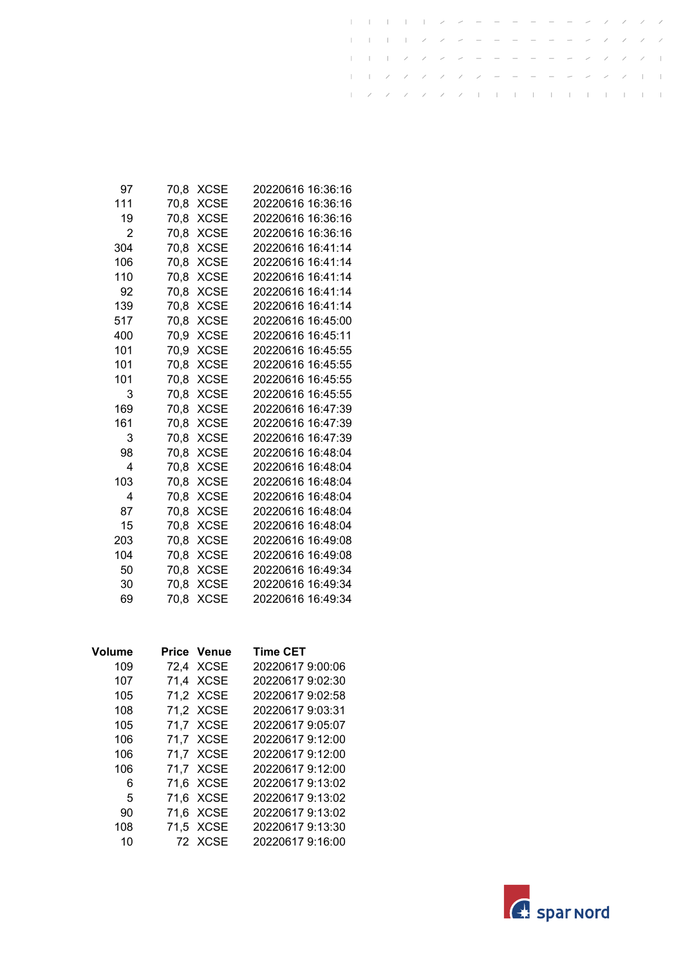| 97  | 70.8 | XCSE        | 20220616 16:36:16 |
|-----|------|-------------|-------------------|
| 111 | 70,8 | XCSE        | 20220616 16:36:16 |
| 19  | 70.8 | <b>XCSE</b> | 20220616 16:36:16 |
| 2   | 70.8 | <b>XCSE</b> | 20220616 16:36:16 |
| 304 | 70,8 | <b>XCSE</b> | 20220616 16:41:14 |
| 106 | 70.8 | XCSE        | 20220616 16:41:14 |
| 110 | 70.8 | <b>XCSE</b> | 20220616 16:41:14 |
| 92  | 70.8 | <b>XCSE</b> | 20220616 16:41:14 |
| 139 | 70,8 | <b>XCSE</b> | 20220616 16:41:14 |
| 517 | 70.8 | XCSE        | 20220616 16:45:00 |
| 400 | 70.9 | XCSE        | 20220616 16:45:11 |
| 101 | 70.9 | XCSE        | 20220616 16:45:55 |
| 101 | 70,8 | XCSE        | 20220616 16:45:55 |
| 101 | 70.8 | XCSE        | 20220616 16:45:55 |
| 3   | 70.8 | XCSE        | 20220616 16:45:55 |
| 169 | 70.8 | XCSE        | 20220616 16:47:39 |
| 161 | 70.8 | XCSE        | 20220616 16:47:39 |
| 3   | 70.8 | XCSE        | 20220616 16:47:39 |
| 98  | 70.8 | <b>XCSE</b> | 20220616 16:48:04 |
| 4   | 70.8 | XCSE        | 20220616 16:48:04 |
| 103 | 70.8 | XCSE        | 20220616 16:48:04 |
| 4   | 70.8 | XCSE        | 20220616 16:48:04 |
| 87  | 70.8 | XCSE        | 20220616 16:48:04 |
| 15  | 70.8 | <b>XCSE</b> | 20220616 16:48:04 |
| 203 | 70.8 | XCSE        | 20220616 16:49:08 |
| 104 | 70,8 | XCSE        | 20220616 16:49:08 |
| 50  | 70.8 | XCSE        | 20220616 16:49:34 |
| 30  | 70.8 | <b>XCSE</b> | 20220616 16:49:34 |
| 69  | 70.8 | XCSE        | 20220616 16:49:34 |
|     |      |             |                   |

 $\mathbf{I}$ 

 $\mathbf{I}$  $\mathbf{I}$  $\pm$  $\pm$   $\overline{1}$ 

| Volume | Price Venue | <b>Time CET</b>  |
|--------|-------------|------------------|
| 109    | 72.4 XCSE   | 20220617 9:00:06 |
| 107    | 71,4 XCSE   | 20220617 9:02:30 |
| 105    | 71.2 XCSE   | 20220617 9:02:58 |
| 108    | 71,2 XCSE   | 20220617 9:03:31 |
| 105    | 71.7 XCSE   | 20220617 9:05:07 |
| 106    | 71,7 XCSE   | 20220617 9:12:00 |
| 106    | 71.7 XCSE   | 20220617 9:12:00 |
| 106    | 71.7 XCSE   | 20220617 9:12:00 |
| 6      | 71.6 XCSE   | 20220617 9:13:02 |
| 5      | 71.6 XCSE   | 20220617 9:13:02 |
| 90     | 71,6 XCSE   | 20220617 9:13:02 |
| 108    | 71,5 XCSE   | 20220617 9:13:30 |
| 10     | 72 XCSE     | 20220617 9:16:00 |

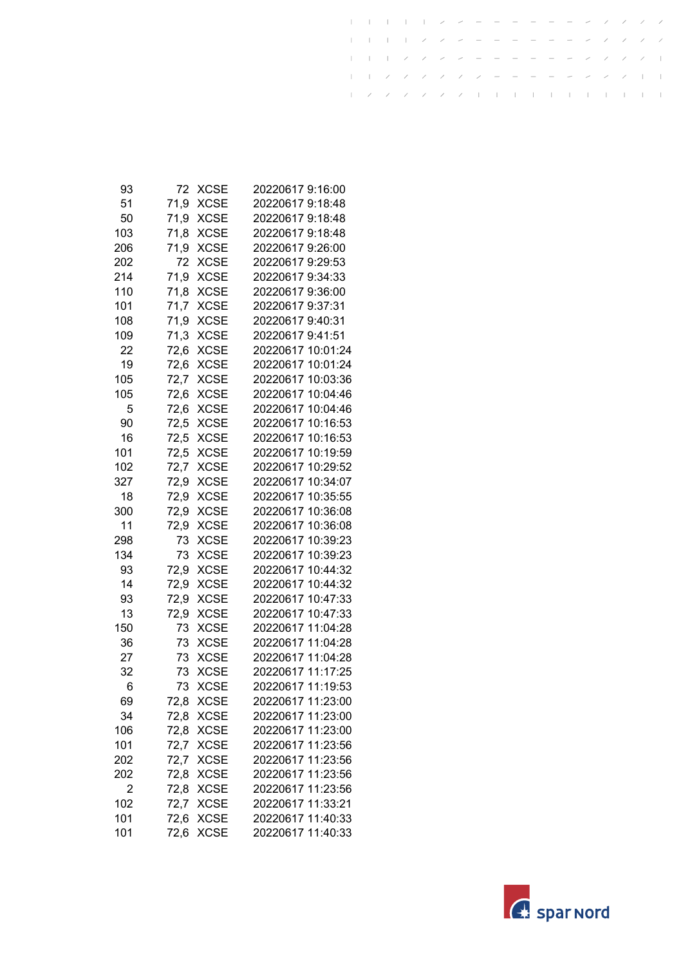| 93  | 72   | XCSE        | 20220617 9:16:00  |
|-----|------|-------------|-------------------|
| 51  | 71,9 | <b>XCSE</b> | 20220617 9:18:48  |
| 50  | 71,9 | <b>XCSE</b> | 20220617 9:18:48  |
| 103 | 71,8 | <b>XCSE</b> | 20220617 9:18:48  |
| 206 | 71,9 | <b>XCSE</b> | 20220617 9:26:00  |
| 202 | 72   | <b>XCSE</b> | 20220617 9:29:53  |
| 214 | 71,9 | <b>XCSE</b> | 20220617 9:34:33  |
| 110 | 71,8 | <b>XCSE</b> | 20220617 9:36:00  |
| 101 | 71,7 | <b>XCSE</b> | 20220617 9:37:31  |
| 108 | 71,9 | <b>XCSE</b> | 20220617 9:40:31  |
| 109 | 71,3 | <b>XCSE</b> | 20220617 9:41:51  |
| 22  | 72,6 | <b>XCSE</b> | 20220617 10:01:24 |
| 19  | 72,6 | <b>XCSE</b> | 20220617 10:01:24 |
| 105 | 72,7 | <b>XCSE</b> | 20220617 10:03:36 |
| 105 | 72,6 | <b>XCSE</b> | 20220617 10:04:46 |
| 5   | 72,6 | <b>XCSE</b> | 20220617 10:04:46 |
| 90  | 72,5 | <b>XCSE</b> | 20220617 10:16:53 |
| 16  | 72,5 | <b>XCSE</b> | 20220617 10:16:53 |
| 101 | 72,5 | <b>XCSE</b> | 20220617 10:19:59 |
| 102 | 72,7 | <b>XCSE</b> | 20220617 10:29:52 |
| 327 | 72,9 | <b>XCSE</b> | 20220617 10:34:07 |
| 18  | 72,9 | <b>XCSE</b> | 20220617 10:35:55 |
| 300 | 72,9 | <b>XCSE</b> | 20220617 10:36:08 |
| 11  | 72,9 | <b>XCSE</b> | 20220617 10:36:08 |
| 298 | 73   | <b>XCSE</b> | 20220617 10:39:23 |
| 134 | 73   | <b>XCSE</b> | 20220617 10:39:23 |
| 93  | 72,9 | <b>XCSE</b> | 20220617 10:44:32 |
| 14  | 72,9 | <b>XCSE</b> | 20220617 10:44:32 |
| 93  | 72,9 | <b>XCSE</b> | 20220617 10:47:33 |
| 13  | 72,9 | <b>XCSE</b> | 20220617 10:47:33 |
| 150 | 73   | <b>XCSE</b> | 20220617 11:04:28 |
| 36  | 73   | <b>XCSE</b> | 20220617 11:04:28 |
| 27  | 73   | <b>XCSE</b> | 20220617 11:04:28 |
| 32  | 73   | <b>XCSE</b> | 20220617 11:17:25 |
| 6   | 73   | <b>XCSE</b> | 20220617 11:19:53 |
| 69  | 72,8 | XCSE        | 20220617 11:23:00 |
| 34  | 72,8 | <b>XCSE</b> | 20220617 11:23:00 |
| 106 | 72,8 | <b>XCSE</b> | 20220617 11:23:00 |
| 101 | 72,7 | <b>XCSE</b> | 20220617 11:23:56 |
| 202 | 72,7 | <b>XCSE</b> | 20220617 11:23:56 |
| 202 | 72,8 | <b>XCSE</b> | 20220617 11:23:56 |
| 2   | 72,8 | <b>XCSE</b> | 20220617 11:23:56 |
| 102 | 72,7 | <b>XCSE</b> | 20220617 11:33:21 |
| 101 | 72,6 | <b>XCSE</b> | 20220617 11:40:33 |
| 101 | 72,6 | <b>XCSE</b> | 20220617 11:40:33 |
|     |      |             |                   |

 $\mathbf{I}$ 

 $\mathbf{I}$  $\mathbf{I}$  $\pm$  $\pm$   $\overline{1}$ 

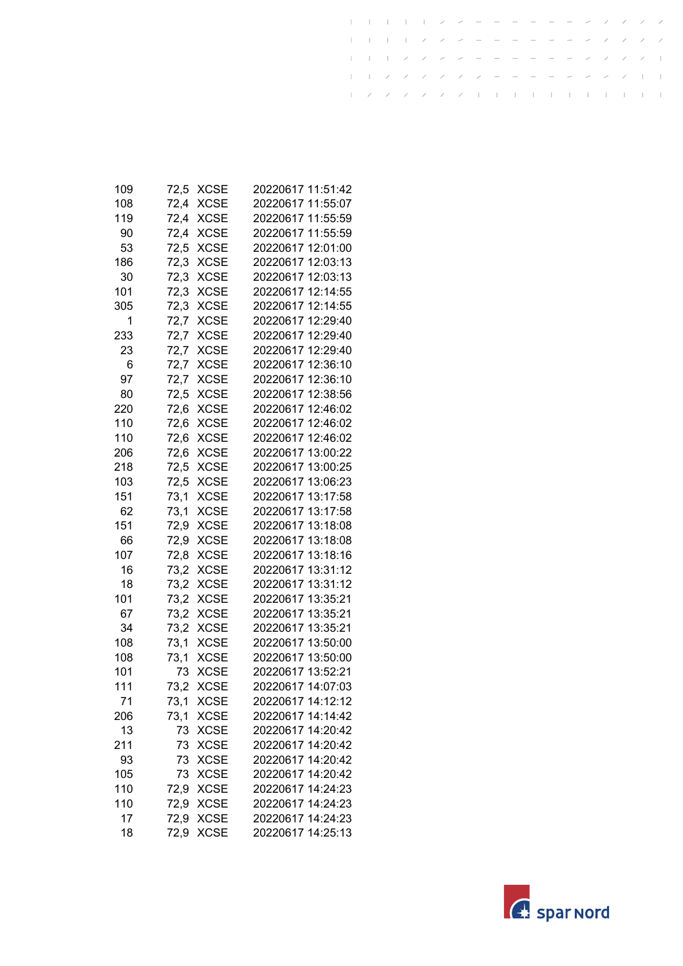| 109 | 72,5 | XCSE        | 20220617 11:51:42 |
|-----|------|-------------|-------------------|
| 108 | 72,4 | <b>XCSE</b> | 20220617 11:55:07 |
| 119 | 72,4 | <b>XCSE</b> | 20220617 11:55:59 |
| 90  | 72,4 | <b>XCSE</b> | 20220617 11:55:59 |
| 53  | 72,5 | <b>XCSE</b> | 20220617 12:01:00 |
| 186 | 72,3 | <b>XCSE</b> | 20220617 12:03:13 |
| 30  | 72,3 | <b>XCSE</b> | 20220617 12:03:13 |
| 101 | 72,3 | <b>XCSE</b> | 20220617 12:14:55 |
| 305 | 72,3 | <b>XCSE</b> | 20220617 12:14:55 |
| 1   | 72,7 | <b>XCSE</b> | 20220617 12:29:40 |
| 233 | 72,7 | <b>XCSE</b> | 20220617 12:29:40 |
| 23  | 72,7 | <b>XCSE</b> | 20220617 12:29:40 |
| 6   | 72,7 | <b>XCSE</b> | 20220617 12:36:10 |
| 97  | 72,7 | <b>XCSE</b> | 20220617 12:36:10 |
| 80  | 72,5 | <b>XCSE</b> | 20220617 12:38:56 |
| 220 | 72,6 | <b>XCSE</b> | 20220617 12:46:02 |
| 110 | 72,6 | <b>XCSE</b> | 20220617 12:46:02 |
| 110 | 72,6 | <b>XCSE</b> | 20220617 12:46:02 |
| 206 | 72,6 | <b>XCSE</b> | 20220617 13:00:22 |
| 218 | 72,5 | <b>XCSE</b> | 20220617 13:00:25 |
| 103 | 72,5 | <b>XCSE</b> | 20220617 13:06:23 |
| 151 | 73,1 | <b>XCSE</b> | 20220617 13:17:58 |
| 62  | 73,1 | <b>XCSE</b> | 20220617 13:17:58 |
| 151 | 72,9 | <b>XCSE</b> | 20220617 13:18:08 |
| 66  | 72,9 | <b>XCSE</b> | 20220617 13:18:08 |
| 107 | 72,8 | <b>XCSE</b> | 20220617 13:18:16 |
| 16  | 73,2 | <b>XCSE</b> | 20220617 13:31:12 |
| 18  | 73,2 | <b>XCSE</b> | 20220617 13:31:12 |
| 101 | 73,2 | <b>XCSE</b> | 20220617 13:35:21 |
| 67  | 73,2 | <b>XCSE</b> | 20220617 13:35:21 |
| 34  | 73,2 | <b>XCSE</b> | 20220617 13:35:21 |
| 108 | 73,1 | <b>XCSE</b> | 20220617 13:50:00 |
| 108 | 73,1 | <b>XCSE</b> | 20220617 13:50:00 |
| 101 | 73   | <b>XCSE</b> | 20220617 13:52:21 |
| 111 | 73,2 | <b>XCSE</b> | 20220617 14:07:03 |
| 71  | 73,1 | <b>XCSE</b> | 20220617 14:12:12 |
| 206 | 73,1 | <b>XCSE</b> | 20220617 14:14:42 |
| 13  | 73   | <b>XCSE</b> | 20220617 14:20:42 |
| 211 | 73   | <b>XCSE</b> | 20220617 14:20:42 |
| 93  | 73   | <b>XCSE</b> | 20220617 14:20:42 |
| 105 | 73   | <b>XCSE</b> | 20220617 14:20:42 |
| 110 | 72,9 | <b>XCSE</b> | 20220617 14:24:23 |
| 110 | 72,9 | <b>XCSE</b> | 20220617 14:24:23 |
| 17  | 72,9 | <b>XCSE</b> | 20220617 14:24:23 |
| 18  | 72,9 | <b>XCSE</b> | 20220617 14:25:13 |

 $\mathbf{I}$ 

 $\mathbf{I}$  $\mathbf{I}$  $\pm$  $\pm$   $\overline{1}$ 

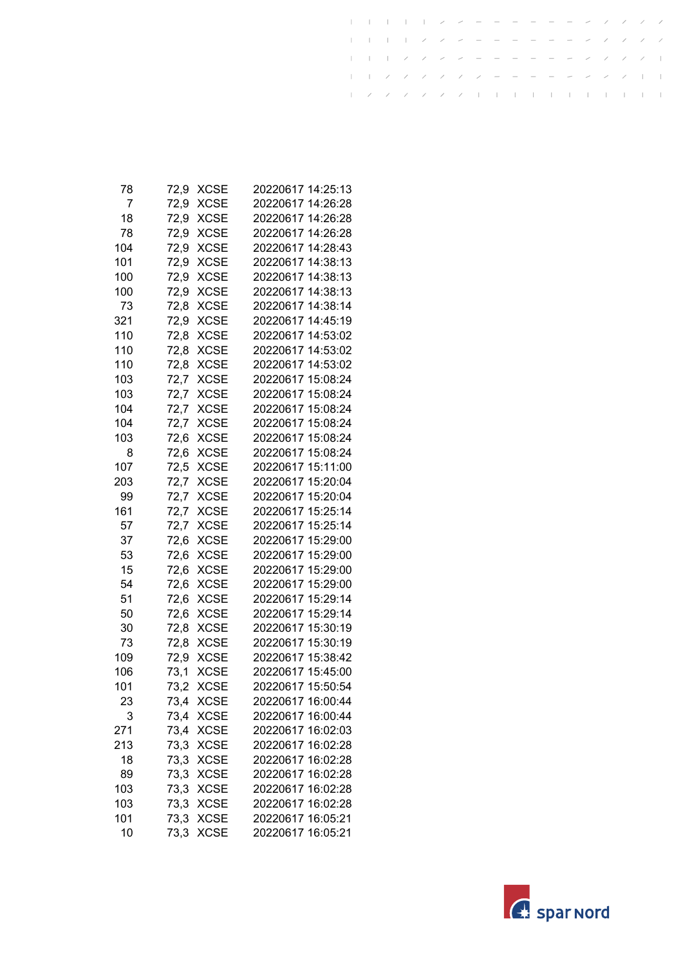| 78  | 72,9 | XCSE        | 20220617 14:25:13                      |
|-----|------|-------------|----------------------------------------|
| 7   | 72,9 | <b>XCSE</b> | 20220617 14:26:28                      |
| 18  | 72,9 | <b>XCSE</b> | 20220617 14:26:28                      |
| 78  | 72,9 | <b>XCSE</b> | 20220617 14:26:28                      |
| 104 | 72,9 | <b>XCSE</b> | 20220617 14:28:43                      |
| 101 | 72,9 | <b>XCSE</b> | 20220617 14:38:13                      |
| 100 | 72,9 | <b>XCSE</b> | 20220617 14:38:13                      |
| 100 | 72,9 | XCSE        | 20220617 14:38:13                      |
| 73  | 72,8 | <b>XCSE</b> | 20220617 14:38:14                      |
| 321 | 72,9 | <b>XCSE</b> | 20220617 14:45:19                      |
| 110 | 72,8 | <b>XCSE</b> | 20220617 14:53:02                      |
| 110 | 72,8 | <b>XCSE</b> | 20220617 14:53:02                      |
| 110 | 72,8 | <b>XCSE</b> | 20220617 14:53:02                      |
| 103 | 72,7 | <b>XCSE</b> | 20220617 15:08:24                      |
| 103 | 72,7 | XCSE        | 20220617 15:08:24                      |
| 104 | 72,7 | <b>XCSE</b> | 20220617 15:08:24                      |
| 104 | 72,7 | <b>XCSE</b> | 20220617 15:08:24                      |
| 103 | 72,6 | <b>XCSE</b> | 20220617 15:08:24                      |
| 8   | 72,6 | <b>XCSE</b> | 20220617 15:08:24                      |
| 107 | 72,5 | <b>XCSE</b> | 20220617 15:11:00                      |
| 203 | 72,7 | <b>XCSE</b> | 20220617 15:20:04                      |
| 99  | 72,7 | <b>XCSE</b> | 20220617 15:20:04                      |
| 161 | 72,7 | <b>XCSE</b> | 20220617 15:25:14                      |
| 57  | 72,7 | XCSE        | 20220617 15:25:14                      |
| 37  | 72,6 | <b>XCSE</b> | 20220617 15:29:00                      |
| 53  | 72,6 | <b>XCSE</b> | 20220617 15:29:00                      |
| 15  | 72,6 | <b>XCSE</b> | 20220617 15:29:00                      |
| 54  | 72,6 | <b>XCSE</b> | 20220617 15:29:00                      |
| 51  | 72,6 | <b>XCSE</b> | 20220617 15:29:14                      |
| 50  | 72,6 | <b>XCSE</b> | 20220617 15:29:14                      |
| 30  | 72,8 | <b>XCSE</b> | 20220617 15:30:19                      |
| 73  | 72,8 | <b>XCSE</b> | 20220617 15:30:19                      |
| 109 | 72,9 | <b>XCSE</b> | 20220617 15:38:42                      |
| 106 | 73,1 | <b>XCSE</b> | 20220617 15:45:00                      |
| 101 | 73,2 | <b>XCSE</b> | 20220617 15:50:54                      |
| 23  | 73,4 | XCSE        | 20220617 16:00:44                      |
| 3   | 73,4 | <b>XCSE</b> | 20220617 16:00:44                      |
| 271 | 73,4 | <b>XCSE</b> | 20220617 16:02:03<br>20220617 16:02:28 |
| 213 | 73,3 | <b>XCSE</b> |                                        |
| 18  | 73,3 | <b>XCSE</b> | 20220617 16:02:28                      |
| 89  | 73,3 | <b>XCSE</b> | 20220617 16:02:28                      |
| 103 | 73,3 | <b>XCSE</b> | 20220617 16:02:28                      |
| 103 | 73,3 | <b>XCSE</b> | 20220617 16:02:28                      |
| 101 | 73,3 | <b>XCSE</b> | 20220617 16:05:21                      |
| 10  | 73,3 | <b>XCSE</b> | 20220617 16:05:21                      |

 $\mathbf{I}$ 

 $\mathbf{I}$  $\mathbf{I}$  $\pm$  $\pm$   $\overline{1}$ 

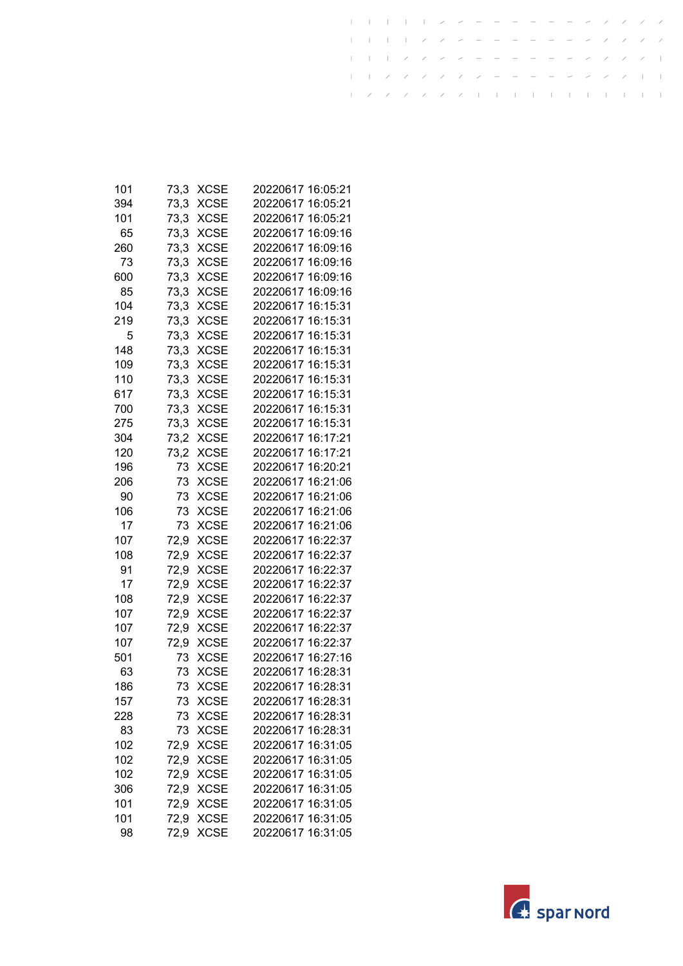| 101 | 73,3 | XCSE        | 20220617 16:05:21 |
|-----|------|-------------|-------------------|
| 394 | 73,3 | <b>XCSE</b> | 20220617 16:05:21 |
| 101 | 73,3 | <b>XCSE</b> | 20220617 16:05:21 |
| 65  | 73,3 | <b>XCSE</b> | 20220617 16:09:16 |
| 260 | 73,3 | <b>XCSE</b> | 20220617 16:09:16 |
| 73  | 73,3 | <b>XCSE</b> | 20220617 16:09:16 |
| 600 | 73,3 | <b>XCSE</b> | 20220617 16:09:16 |
| 85  | 73,3 | <b>XCSE</b> | 20220617 16:09:16 |
| 104 | 73,3 | <b>XCSE</b> | 20220617 16:15:31 |
| 219 | 73,3 | <b>XCSE</b> | 20220617 16:15:31 |
| 5   | 73,3 | <b>XCSE</b> | 20220617 16:15:31 |
| 148 | 73,3 | <b>XCSE</b> | 20220617 16:15:31 |
| 109 | 73,3 | <b>XCSE</b> | 20220617 16:15:31 |
| 110 | 73,3 | <b>XCSE</b> | 20220617 16:15:31 |
| 617 | 73,3 | <b>XCSE</b> | 20220617 16:15:31 |
| 700 | 73,3 | <b>XCSE</b> | 20220617 16:15:31 |
| 275 | 73,3 | <b>XCSE</b> | 20220617 16:15:31 |
| 304 | 73,2 | <b>XCSE</b> | 20220617 16:17:21 |
| 120 | 73,2 | <b>XCSE</b> | 20220617 16:17:21 |
| 196 | 73   | <b>XCSE</b> | 20220617 16:20:21 |
| 206 | 73   | <b>XCSE</b> | 20220617 16:21:06 |
| 90  | 73   | <b>XCSE</b> | 20220617 16:21:06 |
| 106 | 73   | <b>XCSE</b> | 20220617 16:21:06 |
| 17  | 73   | <b>XCSE</b> | 20220617 16:21:06 |
| 107 | 72,9 | <b>XCSE</b> | 20220617 16:22:37 |
| 108 | 72,9 | <b>XCSE</b> | 20220617 16:22:37 |
| 91  | 72,9 | <b>XCSE</b> | 20220617 16:22:37 |
| 17  | 72,9 | <b>XCSE</b> | 20220617 16:22:37 |
| 108 | 72,9 | <b>XCSE</b> | 20220617 16:22:37 |
| 107 | 72,9 | <b>XCSE</b> | 20220617 16:22:37 |
| 107 | 72,9 | <b>XCSE</b> | 20220617 16:22:37 |
| 107 | 72,9 | <b>XCSE</b> | 20220617 16:22:37 |
| 501 | 73   | <b>XCSE</b> | 20220617 16:27:16 |
| 63  | 73   | <b>XCSE</b> | 20220617 16:28:31 |
| 186 | 73   | <b>XCSE</b> | 20220617 16:28:31 |
| 157 | 73   | <b>XCSE</b> | 20220617 16:28:31 |
| 228 | 73   | <b>XCSE</b> | 20220617 16:28:31 |
| 83  | 73   | <b>XCSE</b> | 20220617 16:28:31 |
| 102 | 72,9 | <b>XCSE</b> | 20220617 16:31:05 |
| 102 | 72,9 | <b>XCSE</b> | 20220617 16:31:05 |
| 102 | 72,9 | <b>XCSE</b> | 20220617 16:31:05 |
| 306 | 72,9 | <b>XCSE</b> | 20220617 16:31:05 |
| 101 | 72,9 | <b>XCSE</b> | 20220617 16:31:05 |
| 101 | 72,9 | <b>XCSE</b> | 20220617 16:31:05 |
| 98  | 72,9 | <b>XCSE</b> | 20220617 16:31:05 |

 $\mathbf{I}$ 

 $\mathbf{I}$  $\mathbf{I}$  $\pm$  $\pm$   $\overline{1}$